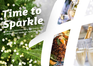# *Time to [Sparkle](https://stoke.hichristmas.co.uk) Book your Christmas Party and Events*

*at Holiday Inn® Stoke on Trent M6, Jct.15*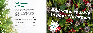Whether you're looking to organise a spectacular Christmas party for colleagues, a festive night out for friends or a celebratory feast with loved ones, we've got the perfect package for you.

### *Celebrate with us*



2

Why not join us at the Holiday Inn Stoke on Trent M6, Jct.15 to celebrate Christmas 2022 in style?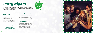#### *All-Inclusive Party Nights*

Our all-inclusive party nights include everything you need for the perfect festive night out! Enjoy a three-course meal, disco and drinks throughout the evening. The bar will offer you plenty of choice from house wine, house spirits & mixers, draught lager/beer, selected alcopops and soft drinks all included in the price. The all-inclusive bar is available from 8pm - 12am

**Saturdays: 26<sup>th</sup> November, 3rd, 10th & 17th December & 21st January**

#### **£49.95 per adult**

**Fridays: 25th November, 2nd, 9th, 16th & 23rd December**

# *[Party Nights](https://stoke.hichristmas.co.uk)*

Our festive party nights will be held in the Gordon Banks Suite and can accommodate up to 120 people. All-Inclusive parties start at 7.30pm, dinner served at 8.00pm, last orders at mid-night and carriages at 12.30am.



#### *Meet, Stay and Party*

Work, rest and play! Join us throughout November, December or January with your colleagues for a full-day meeting, your choice of celebration in the evening, overnight accommodation and breakfast the following day. Plan your end-of-year meeting today! Please enquire for availability and pricing.

#### *Private Parties*

From intimate family gatherings to large corporate parties, we have functions rooms available to hire based on your requirements. Please contact us so we can help you plan your perfect celebration. Minimum numbers apply. Prices available upon request. Pre-booking only and subject to availability. Dates sell fast so enquire today!

4

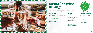### *[Casual Festive](https://stoke.hichristmas.co.uk) Dining*

Whether you're looking to organise a spectacular Christmas dinner for colleagues, a festive lunch for friends or a celebratory feast with loved ones, we've got the perfect event for you.

#### *Festive Lunch*

Our festive lunches are perfect for any occasion, whether you want to spend time with family, friends or work colleagues. Includes a glass of fizz upon arrival and a three-course festive meal.

**Available seven days a week. (subject to availability). Pre-booking essential. Call 03333 209 352 opt 4 to book.**

#### *Pizza and Prosecco*

Pizza and Prosecco = Perfect! Book today so you can enjoy a pizza and a glass of Prosecco each in the relaxed atmosphere of our Open Lobby.

#### **£14.95 per person**

#### *Festive Fizz Afternoon Tea*

Enjoy a festive afternoon tea, including tea & coffee and a refreshing glass of fizz! The perfect treat for anyone to enjoy. It also includes a selection of sandwiches, scones with cream & jam and a mouthwatering slice of seasonal cake.



#### **£18.00 per person**



**From £17.95 per person**

**Available every Tuesday and Thursday throughout December at 12pm, 12:30pm and 1pm. Pre-booking essential, available to book online.** 

**Fridays and Sundays throughout December at 5pm, 6pm and 6:30pm. Available to book online.**

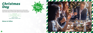### *[Christmas](https://stoke.hichristmas.co.uk)  Day*

Nothing brings the true feeling of Christmas Day closer than a delicious festive lunch with your nearest and dearest. Enjoy a fantastic three course meal with tea & coffee to finish, leaving us to do the dishes! A gift for the children will be provided.

**£49.95 per adult**

**£24.95 per child (aged 3-12 years)**

**Under 3's eat free**

#### *Menus to follow*



**Sunday 25th December Sittings available at 12.30pm and 2.00pm**

8

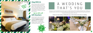### *Stay With Us*

Why not make a night of it and enjoy our special Christmas rates? Room types include standard double, family and twin. Take advantage of up to 20% off our best flexible, bed and breakfast rate. No deposit required and can be cancelled free of charge up to 48 hours prior to arrival.

### *Gift Vouchers*  $-$  Up to 20% off  $-$

We are excited to share with you the amazing gift vouchers we now have available at Holiday Inn Stoke on Trent M6, Jct.15. From delightful afternoon teas to overnight break packages, there's a gift for everyone. Give the gift of travel this year!



Christmas is such a wonderful time of year, why not consider having a festive wedding celebration? Our weddings are [available all year round and our fantastic wedding team will work with you to ensure you get everything you desire to](http://www.histokeontrenthotel.co.uk/weddings)  make your special day a dream come true.



#### Contact us to start creating a wedding that's you, or click to find out more about our weddings



## A WEDDING THAT'S YOU